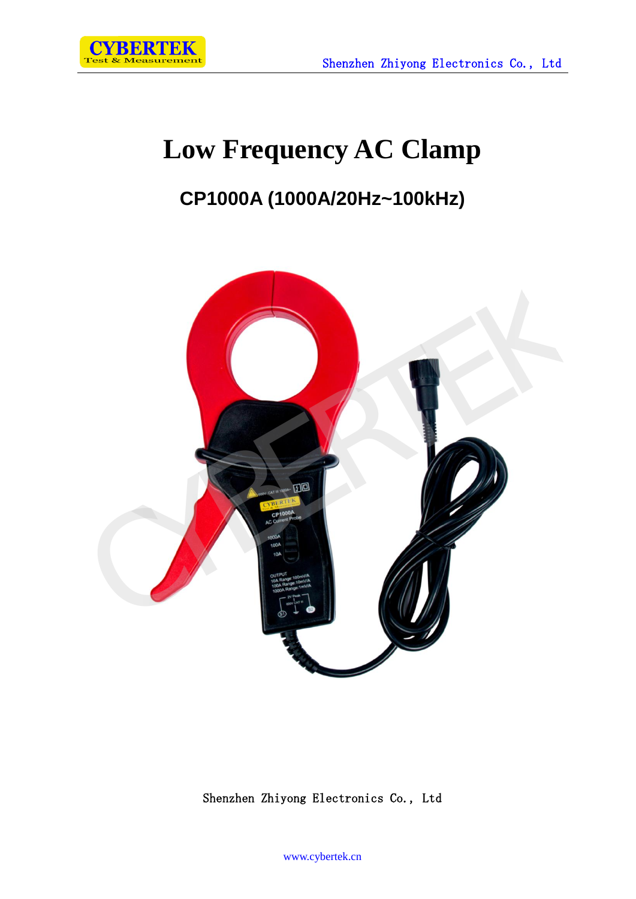

# **Low Frequency AC Clamp**

## **CP1000A (1000A/20Hz~100kHz)**



Shenzhen Zhiyong Electronics Co., Ltd

www.cybertek.cn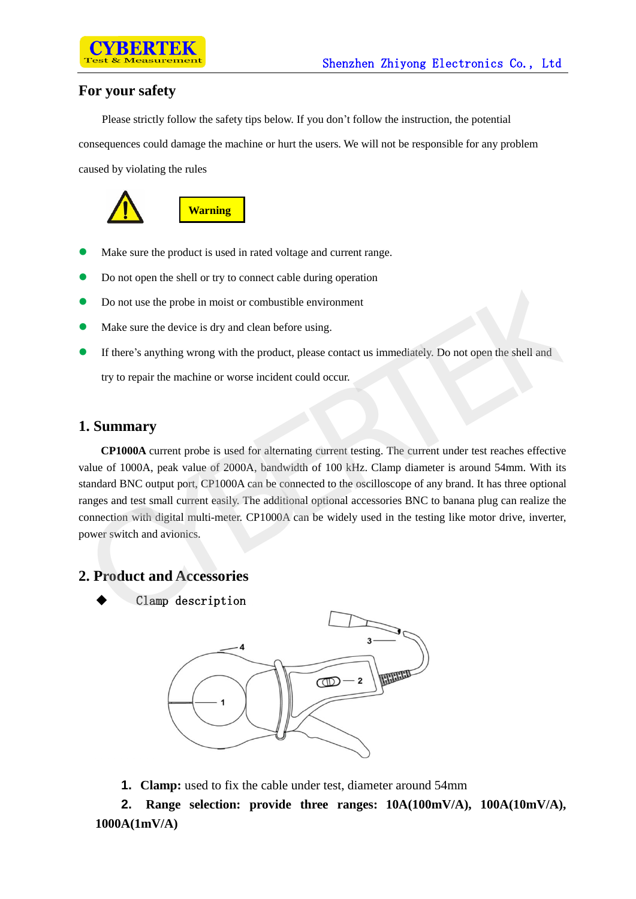### **For your safety**

Please strictly follow the safety tips below. If you don't follow the instruction, the potential consequences could damage the machine or hurt the users. We will not be responsible for any problem caused by violating the rules



- Make sure the product is used in rated voltage and current range.
- Do not open the shell or try to connect cable during operation
- Do not use the probe in moist or combustible environment
- Make sure the device is dry and clean before using.
- If there's anything wrong with the product, please contact us immediately. Do not open the shell and

try to repair the machine or worse incident could occur.

#### **1. Summary**

**CP1000A** current probe is used for alternating current testing. The current under test reaches effective value of 1000A, peak value of 2000A, bandwidth of 100 kHz. Clamp diameter is around 54mm. With its standard BNC output port, CP1000A can be connected to the oscilloscope of any brand. It has three optional ranges and test small current easily. The additional optional accessories BNC to banana plug can realize the connection with digital multi-meter. CP1000A can be widely used in the testing like motor drive, inverter, power switch and avionics. CYBERTEK

#### **2. Product and Accessories**



Clamp description



**1. Clamp:** used to fix the cable under test, diameter around 54mm

**2. Range selection: provide three ranges: 10A(100mV/A), 100A(10mV/A), 1000A(1mV/A)**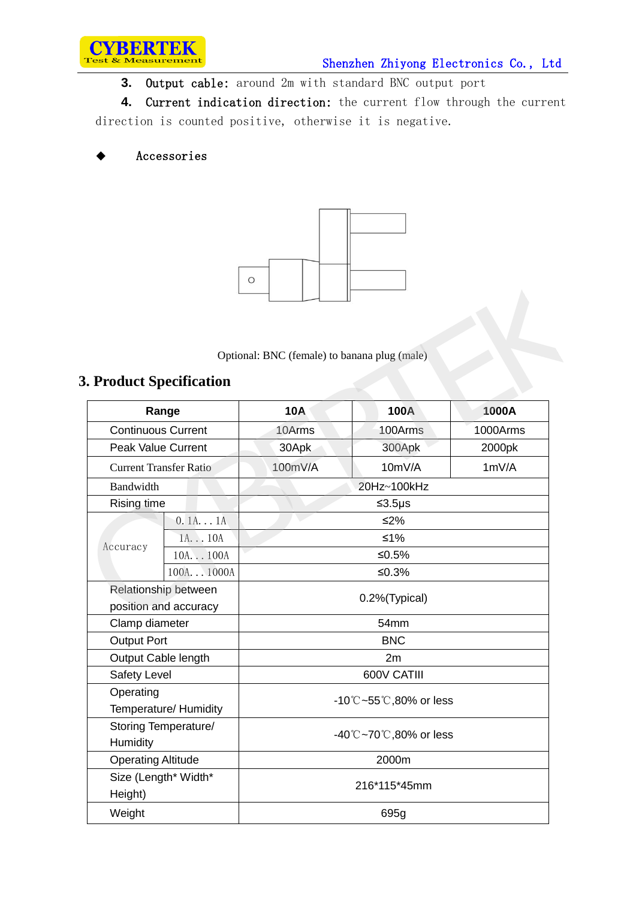

**3.** Output cable: around 2m with standard BNC output port

**4.** Current indication direction: the current flow through the current direction is counted positive, otherwise it is negative.

#### Accessories



#### **3. Product Specification**

|                                               |                                 | U                                            |         |          |
|-----------------------------------------------|---------------------------------|----------------------------------------------|---------|----------|
|                                               | <b>3. Product Specification</b> | Optional: BNC (female) to banana plug (male) |         |          |
| Range                                         |                                 | <b>10A</b>                                   | 100A    | 1000A    |
| <b>Continuous Current</b>                     |                                 | 10Arms                                       | 100Arms | 1000Arms |
| <b>Peak Value Current</b>                     |                                 | 30Apk                                        | 300Apk  | 2000pk   |
| <b>Current Transfer Ratio</b>                 |                                 | 100mV/A                                      | 10mV/A  | 1mV/A    |
| Bandwidth                                     |                                 | 20Hz~100kHz                                  |         |          |
| Rising time                                   |                                 | $≤3.5\mu s$                                  |         |          |
|                                               | 0.1A1A                          | $≤2\%$                                       |         |          |
|                                               | 1A10A                           | $≤1\%$                                       |         |          |
| Accuracy                                      | 10A100A                         | $≤0.5%$                                      |         |          |
|                                               | 100A1000A                       | ≤0.3%                                        |         |          |
| Relationship between<br>position and accuracy |                                 | 0.2%(Typical)                                |         |          |
| Clamp diameter                                |                                 | 54mm                                         |         |          |
| <b>Output Port</b>                            |                                 | <b>BNC</b>                                   |         |          |
| Output Cable length                           |                                 | 2m                                           |         |          |
| Safety Level                                  |                                 | 600V CATIII                                  |         |          |
| Operating<br>Temperature/ Humidity            |                                 | -10°C~55°C,80% or less                       |         |          |
| Storing Temperature/<br>Humidity              |                                 | -40℃~70℃,80% or less                         |         |          |
| <b>Operating Altitude</b>                     |                                 | 2000m                                        |         |          |
| Size (Length* Width*<br>Height)               |                                 | 216*115*45mm                                 |         |          |
| Weight                                        |                                 | 695g                                         |         |          |
|                                               |                                 |                                              |         |          |